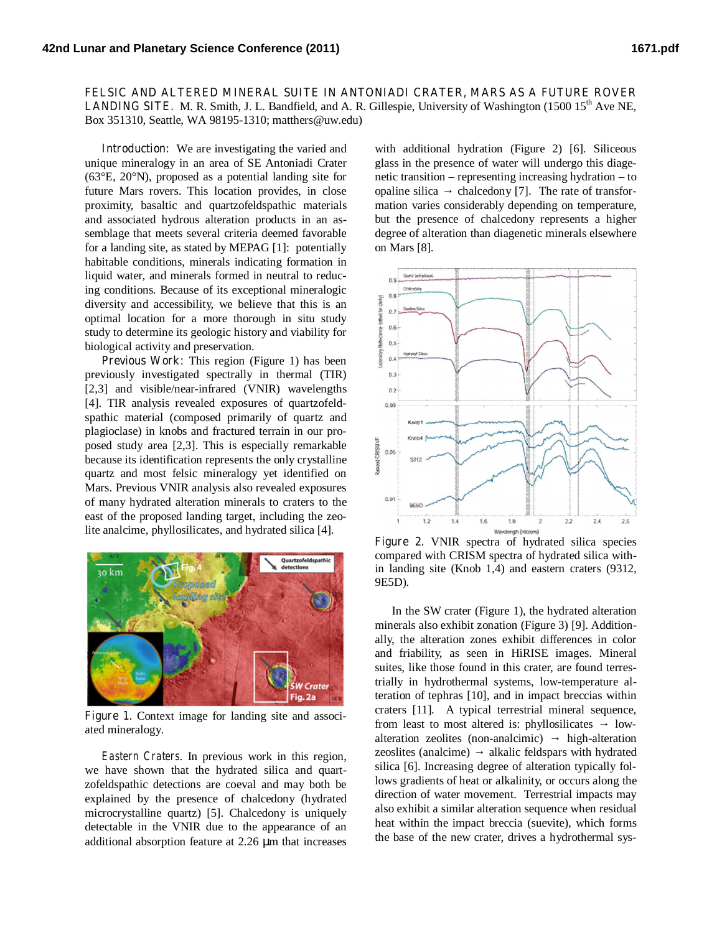**FELSIC AND ALTERED MINERAL SUITE IN ANTONIADI CRATER, MARS AS A FUTURE ROVER LANDING SITE.** M. R. Smith, J. L. Bandfield, and A. R. Gillespie, University of Washington (1500  $15<sup>th</sup>$  Ave NE, Box 351310, Seattle, WA 98195-1310; matthers@uw.edu)

**Introduction:** We are investigating the varied and unique mineralogy in an area of SE Antoniadi Crater (63°E, 20°N), proposed as a potential landing site for future Mars rovers. This location provides, in close proximity, basaltic and quartzofeldspathic materials and associated hydrous alteration products in an assemblage that meets several criteria deemed favorable for a landing site, as stated by MEPAG [1]: potentially habitable conditions, minerals indicating formation in liquid water, and minerals formed in neutral to reducing conditions. Because of its exceptional mineralogic diversity and accessibility, we believe that this is an optimal location for a more thorough in situ study study to determine its geologic history and viability for biological activity and preservation.

**Previous Work:** This region (Figure 1) has been previously investigated spectrally in thermal (TIR) [2,3] and visible/near-infrared (VNIR) wavelengths [4]. TIR analysis revealed exposures of quartzofeldspathic material (composed primarily of quartz and plagioclase) in knobs and fractured terrain in our proposed study area [2,3]. This is especially remarkable because its identification represents the only crystalline quartz and most felsic mineralogy yet identified on Mars. Previous VNIR analysis also revealed exposures of many hydrated alteration minerals to craters to the east of the proposed landing target, including the zeolite analcime, phyllosilicates, and hydrated silica [4].



Figure 1. Context image for landing site and associated mineralogy.

*Eastern Craters*. In previous work in this region, we have shown that the hydrated silica and quartzofeldspathic detections are coeval and may both be explained by the presence of chalcedony (hydrated microcrystalline quartz) [5]. Chalcedony is uniquely detectable in the VNIR due to the appearance of an additional absorption feature at 2.26 μm that increases

with additional hydration (Figure 2) [6]. Siliceous glass in the presence of water will undergo this diagenetic transition – representing increasing hydration – to opaline silica chalcedony [7]. The rate of transformation varies considerably depending on temperature, but the presence of chalcedony represents a higher degree of alteration than diagenetic minerals elsewhere on Mars [8].



**Figure 2.** VNIR spectra of hydrated silica species compared with CRISM spectra of hydrated silica within landing site (Knob 1,4) and eastern craters (9312, 9E5D).

In the SW crater (Figure 1), the hydrated alteration minerals also exhibit zonation (Figure 3) [9]. Additionally, the alteration zones exhibit differences in color and friability, as seen in HiRISE images. Mineral suites, like those found in this crater, are found terrestrially in hydrothermal systems, low-temperature alteration of tephras [10], and in impact breccias within craters [11]. A typical terrestrial mineral sequence, from least to most altered is: phyllosilicates lowalteration zeolites (non-analcimic) high-alteration zeoslites (analcime) alkalic feldspars with hydrated silica [6]. Increasing degree of alteration typically follows gradients of heat or alkalinity, or occurs along the direction of water movement. Terrestrial impacts may also exhibit a similar alteration sequence when residual heat within the impact breccia (suevite), which forms the base of the new crater, drives a hydrothermal sys-